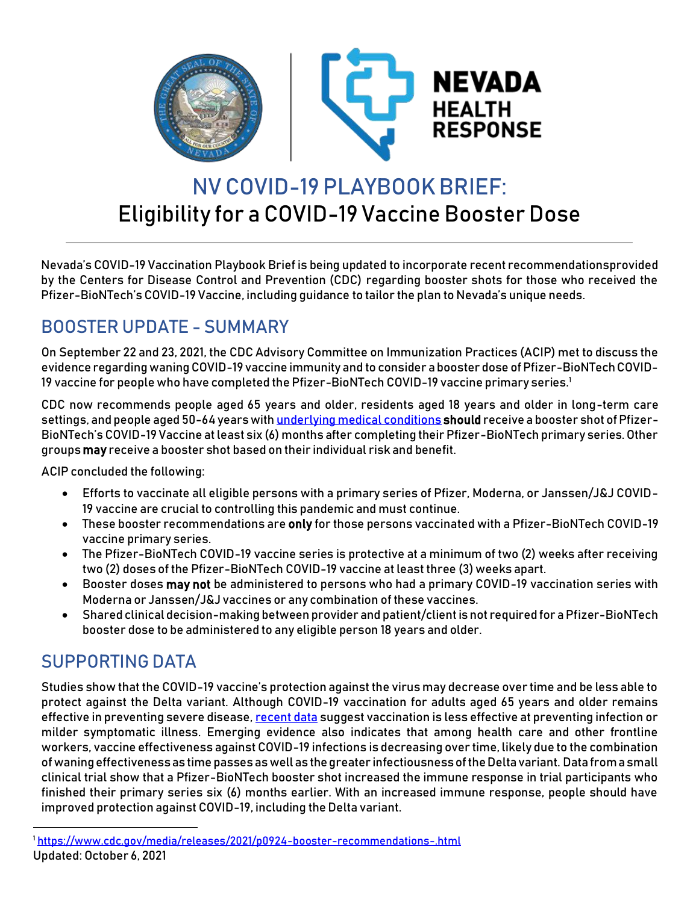

# NV COVID-19 PLAYBOOKBRIEF: Eligibility for a COVID-19 Vaccine Booster Dose

Nevada's COVID-19 Vaccination Playbook Brief is being updated to incorporate recent recommendationsprovided by the Centers for Disease Control and Prevention (CDC) regarding booster shots for those who received the Pfizer-BioNTech's COVID-19 Vaccine, including guidance to tailor the plan to Nevada's unique needs.

# BOOSTER UPDATE - SUMMARY

On September 22 and 23, 2021, the CDC Advisory Committee on Immunization Practices (ACIP) met to discuss the evidence regarding waning COVID-19 vaccine immunity and to consider a booster dose of Pfizer-BioNTech COVID-19 vaccine for people who have completed the Pfizer-BioNTech COVID-19 vaccine primary series.<sup>1</sup>

CDC now recommends people aged 65 years and older, residents aged 18 years and older in long-term care settings, and people aged 50-64 years wit[h underlying medical conditions](https://www.cdc.gov/coronavirus/2019-ncov/need-extra-precautions/people-with-medical-conditions.html) should receive a booster shot of Pfizer-BioNTech's COVID-19 Vaccine at least six (6) months after completing their Pfizer-BioNTech primary series. Other groups may receive a booster shot based on their individual risk and benefit.

ACIP concluded the following:

- Efforts to vaccinate all eligible persons with a primary series of Pfizer, Moderna, or Janssen/J&J COVID-19 vaccine are crucial to controlling this pandemic and must continue.
- These booster recommendations are only for those persons vaccinated with a Pfizer-BioNTech COVID-19 vaccine primary series.
- The Pfizer-BioNTech COVID-19 vaccine series is protective at a minimum of two (2) weeks after receiving two (2) doses of the Pfizer-BioNTech COVID-19 vaccine at least three (3) weeks apart.
- Booster doses may not be administered to persons who had a primary COVID-19 vaccination series with Moderna or Janssen/J&J vaccines or any combination of these vaccines.
- Shared clinical decision-making between provider and patient/client is not required for a Pfizer-BioNTech booster dose to be administered to any eligible person 18 years and older.

### SUPPORTING DATA

Studies show that the COVID-19 vaccine's protection against the virus may decrease over time and be less able to protect against the Delta variant. Although COVID-19 vaccination for adults aged 65 years and older remains effective in preventing severe disease[, recent data](https://www.cdc.gov/vaccines/acip/meetings/downloads/slides-2021-9-23/03-COVID-Oliver.pdf) suggest vaccination is less effective at preventing infection or milder symptomatic illness. Emerging evidence also indicates that among health care and other frontline workers, vaccine effectiveness against COVID-19 infections is decreasing over time, likely due to the combination of waning effectiveness as time passes as well as the greater infectiousness of the Delta variant. Data from a small clinical trial show that a Pfizer-BioNTech booster shot increased the immune response in trial participants who finished their primary series six (6) months earlier. With an increased immune response, people should have improved protection against COVID-19, including the Delta variant.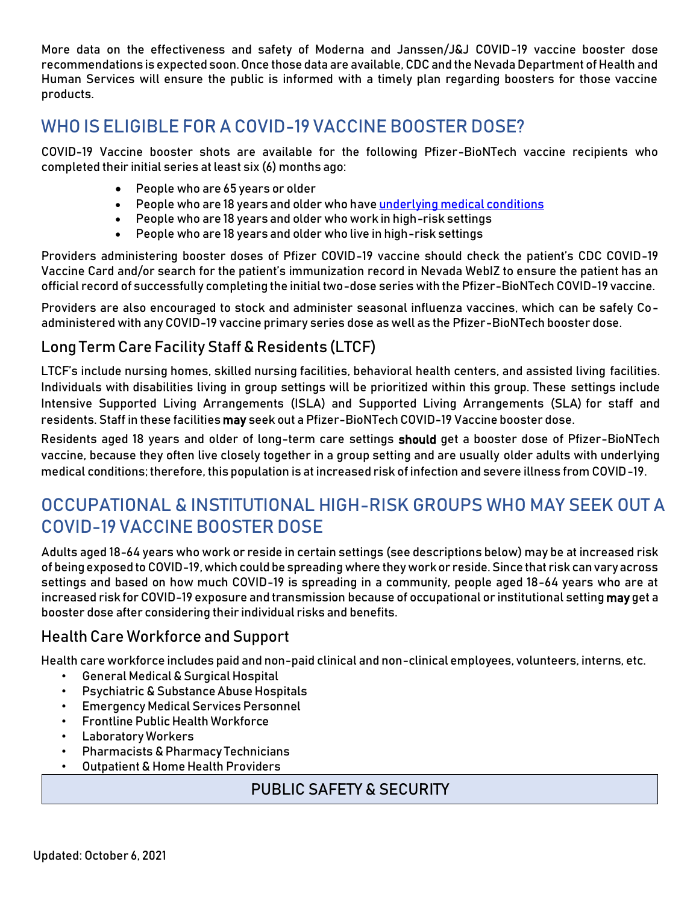More data on the effectiveness and safety of Moderna and Janssen/J&J COVID-19 vaccine booster dose recommendations is expected soon. Once those data are available, CDC and the Nevada Department of Health and Human Services will ensure the public is informed with a timely plan regarding boosters for those vaccine products.

### WHO IS ELIGIBLE FOR A COVID-19 VACCINE BOOSTER DOSE?

COVID-19 Vaccine booster shots are available for the following Pfizer-BioNTech vaccine recipients who completed their initial series at least six (6) months ago:

- People who are 65 years or older
- People who are 18 years and older who hav[e underlying medical conditions](https://www.cdc.gov/coronavirus/2019-ncov/need-extra-precautions/people-with-medical-conditions.html)
- People who are 18 years and older who work in high-risk settings
- People who are 18 years and older who live in high-risk settings

Providers administering booster doses of Pfizer COVID-19 vaccine should check the patient's CDC COVID-19 Vaccine Card and/or search for the patient's immunization record in Nevada WebIZ to ensure the patient has an official record of successfully completing the initial two-dose series with the Pfizer-BioNTech COVID-19 vaccine.

Providers are also encouraged to stock and administer seasonal influenza vaccines, which can be safely Coadministered with any COVID-19 vaccine primary series dose as well as the Pfizer-BioNTech booster dose.

#### Long Term Care Facility Staff&Residents (LTCF)

LTCF's include nursing homes, skilled nursing facilities, behavioral health centers, and assisted living facilities. Individuals with disabilities living in group settings will be prioritized within this group. These settings include Intensive Supported Living Arrangements (ISLA) and Supported Living Arrangements (SLA) for staff and residents. Staff in these facilities may seek out a Pfizer-BioNTech COVID-19 Vaccine booster dose.

Residents aged 18 years and older of long-term care settings should get a booster dose of Pfizer-BioNTech vaccine, because they often live closely together in a group setting and are usually older adults with underlying medical conditions; therefore, this population is at increased risk of infection and severe illness from COVID-19.

### OCCUPATIONAL & INSTITUTIONAL HIGH-RISK GROUPS WHO MAY SEEK OUT A COVID-19 VACCINE BOOSTER DOSE

Adults aged 18-64 years who work or reside in certain settings (see descriptions below) may be at increased risk of being exposed to COVID-19, which could be spreading where they work or reside. Since that risk can vary across settings and based on how much COVID-19 is spreading in a community, people aged 18-64 years who are at increased risk for COVID-19 exposure and transmission because of occupational or institutional setting may get a booster dose after considering their individual risks and benefits.

#### Health Care Workforce and Support

Health care workforce includes paid and non-paid clinical and non-clinical employees, volunteers, interns, etc.

- General Medical & Surgical Hospital
- **Psychiatric & Substance Abuse Hospitals**
- Emergency Medical Services Personnel
- **Frontline Public Health Workforce**
- Laboratory Workers
- Pharmacists & Pharmacy Technicians
- Outpatient & Home Health Providers

#### PUBLIC SAFETY & SECURITY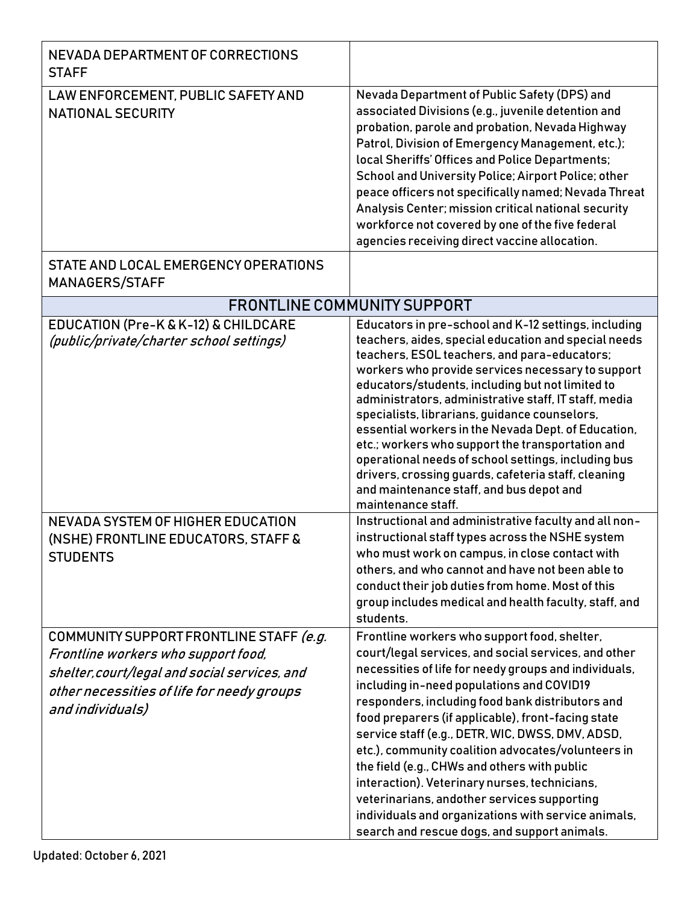| NEVADA DEPARTMENT OF CORRECTIONS<br><b>STAFF</b>                                                                                                                                                  |                                                                                                                                                                                                                                                                                                                                                                                                                                                                                                                                                                                                                                                                                                                                                                                                                                                                                                                                                                                                            |  |
|---------------------------------------------------------------------------------------------------------------------------------------------------------------------------------------------------|------------------------------------------------------------------------------------------------------------------------------------------------------------------------------------------------------------------------------------------------------------------------------------------------------------------------------------------------------------------------------------------------------------------------------------------------------------------------------------------------------------------------------------------------------------------------------------------------------------------------------------------------------------------------------------------------------------------------------------------------------------------------------------------------------------------------------------------------------------------------------------------------------------------------------------------------------------------------------------------------------------|--|
| LAW ENFORCEMENT, PUBLIC SAFETY AND<br><b>NATIONAL SECURITY</b>                                                                                                                                    | Nevada Department of Public Safety (DPS) and<br>associated Divisions (e.g., juvenile detention and<br>probation, parole and probation, Nevada Highway<br>Patrol, Division of Emergency Management, etc.);<br>local Sheriffs' Offices and Police Departments;<br>School and University Police; Airport Police; other<br>peace officers not specifically named; Nevada Threat<br>Analysis Center; mission critical national security<br>workforce not covered by one of the five federal<br>agencies receiving direct vaccine allocation.                                                                                                                                                                                                                                                                                                                                                                                                                                                                    |  |
| STATE AND LOCAL EMERGENCY OPERATIONS<br>MANAGERS/STAFF                                                                                                                                            |                                                                                                                                                                                                                                                                                                                                                                                                                                                                                                                                                                                                                                                                                                                                                                                                                                                                                                                                                                                                            |  |
| <b>FRONTLINE COMMUNITY SUPPORT</b>                                                                                                                                                                |                                                                                                                                                                                                                                                                                                                                                                                                                                                                                                                                                                                                                                                                                                                                                                                                                                                                                                                                                                                                            |  |
| <b>EDUCATION (Pre-K &amp; K-12) &amp; CHILDCARE</b><br>(public/private/charter school settings)<br>NEVADA SYSTEM OF HIGHER EDUCATION<br>(NSHE) FRONTLINE EDUCATORS, STAFF &<br><b>STUDENTS</b>    | Educators in pre-school and K-12 settings, including<br>teachers, aides, special education and special needs<br>teachers, ESOL teachers, and para-educators;<br>workers who provide services necessary to support<br>educators/students, including but not limited to<br>administrators, administrative staff, IT staff, media<br>specialists, librarians, guidance counselors,<br>essential workers in the Nevada Dept. of Education,<br>etc.; workers who support the transportation and<br>operational needs of school settings, including bus<br>drivers, crossing guards, cafeteria staff, cleaning<br>and maintenance staff, and bus depot and<br>maintenance staff.<br>Instructional and administrative faculty and all non-<br>instructional staff types across the NSHE system<br>who must work on campus, in close contact with<br>others, and who cannot and have not been able to<br>conduct their job duties from home. Most of this<br>group includes medical and health faculty, staff, and |  |
| COMMUNITY SUPPORT FRONTLINE STAFF (e.g.<br>Frontline workers who support food,<br>shelter, court/legal and social services, and<br>other necessities of life for needy groups<br>and individuals) | students.<br>Frontline workers who support food, shelter,<br>court/legal services, and social services, and other<br>necessities of life for needy groups and individuals,<br>including in-need populations and COVID19<br>responders, including food bank distributors and<br>food preparers (if applicable), front-facing state<br>service staff (e.g., DETR, WIC, DWSS, DMV, ADSD,<br>etc.), community coalition advocates/volunteers in<br>the field (e.g., CHWs and others with public<br>interaction). Veterinary nurses, technicians,<br>veterinarians, andother services supporting<br>individuals and organizations with service animals,<br>search and rescue dogs, and support animals.                                                                                                                                                                                                                                                                                                         |  |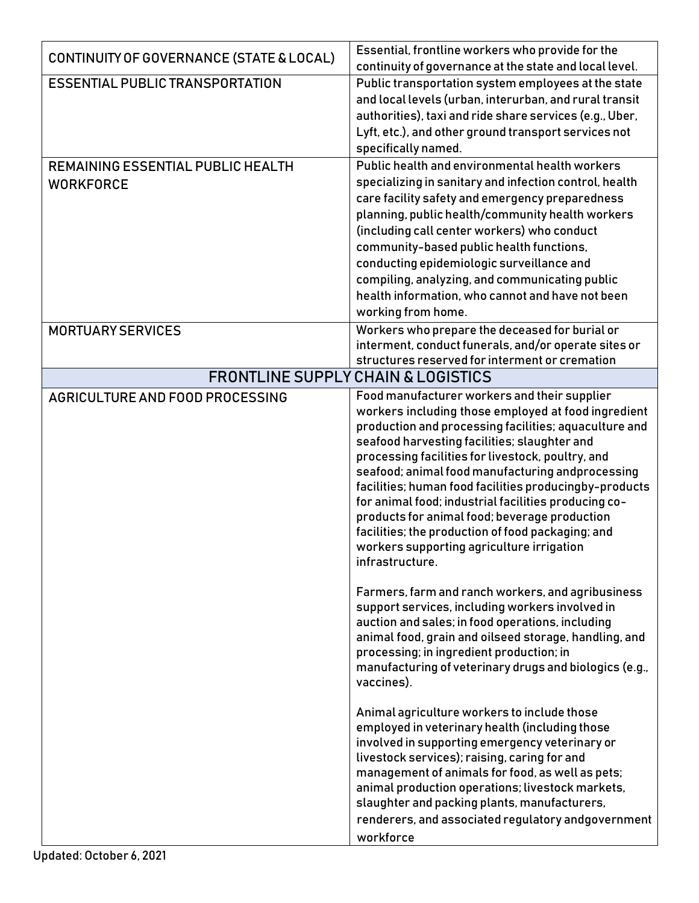| CONTINUITY OF GOVERNANCE (STATE & LOCAL)                     | Essential, frontline workers who provide for the<br>continuity of governance at the state and local level.                                                                                                                                                                                                                                                                                                                                                                                                                                                                                                    |
|--------------------------------------------------------------|---------------------------------------------------------------------------------------------------------------------------------------------------------------------------------------------------------------------------------------------------------------------------------------------------------------------------------------------------------------------------------------------------------------------------------------------------------------------------------------------------------------------------------------------------------------------------------------------------------------|
| <b>ESSENTIAL PUBLIC TRANSPORTATION</b>                       | Public transportation system employees at the state<br>and local levels (urban, interurban, and rural transit<br>authorities), taxi and ride share services (e.g., Uber,<br>Lyft, etc.), and other ground transport services not<br>specifically named.                                                                                                                                                                                                                                                                                                                                                       |
| <b>REMAINING ESSENTIAL PUBLIC HEALTH</b><br><b>WORKFORCE</b> | Public health and environmental health workers<br>specializing in sanitary and infection control, health<br>care facility safety and emergency preparedness<br>planning, public health/community health workers<br>(including call center workers) who conduct<br>community-based public health functions,<br>conducting epidemiologic surveillance and<br>compiling, analyzing, and communicating public<br>health information, who cannot and have not been<br>working from home.                                                                                                                           |
| <b>MORTUARY SERVICES</b>                                     | Workers who prepare the deceased for burial or<br>interment, conduct funerals, and/or operate sites or<br>structures reserved for interment or cremation                                                                                                                                                                                                                                                                                                                                                                                                                                                      |
|                                                              | <b>FRONTLINE SUPPLY CHAIN &amp; LOGISTICS</b>                                                                                                                                                                                                                                                                                                                                                                                                                                                                                                                                                                 |
| AGRICULTURE AND FOOD PROCESSING                              | Food manufacturer workers and their supplier<br>workers including those employed at food ingredient<br>production and processing facilities; aquaculture and<br>seafood harvesting facilities; slaughter and<br>processing facilities for livestock, poultry, and<br>seafood; animal food manufacturing andprocessing<br>facilities; human food facilities producingby-products<br>for animal food; industrial facilities producing co-<br>products for animal food; beverage production<br>facilities; the production of food packaging; and<br>workers supporting agriculture irrigation<br>infrastructure. |
|                                                              | Farmers, farm and ranch workers, and agribusiness<br>support services, including workers involved in<br>auction and sales; in food operations, including<br>animal food, grain and oilseed storage, handling, and<br>processing; in ingredient production; in<br>manufacturing of veterinary drugs and biologics (e.g.,<br>vaccines).                                                                                                                                                                                                                                                                         |
|                                                              | Animal agriculture workers to include those<br>employed in veterinary health (including those<br>involved in supporting emergency veterinary or<br>livestock services); raising, caring for and<br>management of animals for food, as well as pets;<br>animal production operations; livestock markets,<br>slaughter and packing plants, manufacturers,<br>renderers, and associated regulatory andgovernment<br>workforce                                                                                                                                                                                    |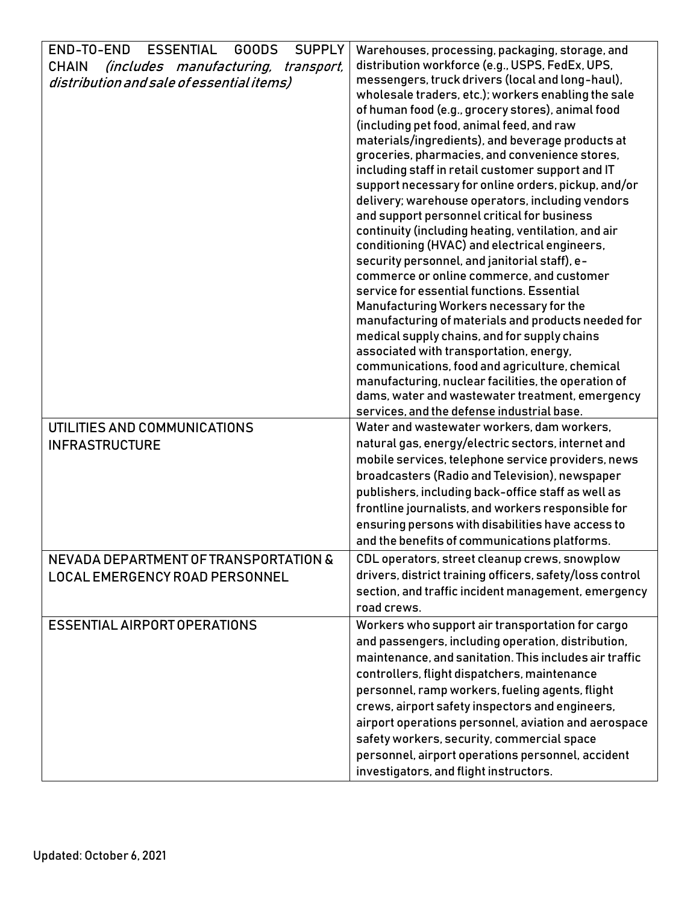| <b>ESSENTIAL</b><br>END-TO-END<br><b>SUPPLY</b><br><b>GOODS</b> | Warehouses, processing, packaging, storage, and          |
|-----------------------------------------------------------------|----------------------------------------------------------|
| <b>CHAIN</b><br>(includes manufacturing, transport,             | distribution workforce (e.g., USPS, FedEx, UPS,          |
| distribution and sale of essential items)                       | messengers, truck drivers (local and long-haul),         |
|                                                                 | wholesale traders, etc.); workers enabling the sale      |
|                                                                 | of human food (e.g., grocery stores), animal food        |
|                                                                 | (including pet food, animal feed, and raw                |
|                                                                 | materials/ingredients), and beverage products at         |
|                                                                 | groceries, pharmacies, and convenience stores,           |
|                                                                 | including staff in retail customer support and IT        |
|                                                                 | support necessary for online orders, pickup, and/or      |
|                                                                 | delivery; warehouse operators, including vendors         |
|                                                                 | and support personnel critical for business              |
|                                                                 | continuity (including heating, ventilation, and air      |
|                                                                 | conditioning (HVAC) and electrical engineers,            |
|                                                                 | security personnel, and janitorial staff), e-            |
|                                                                 | commerce or online commerce, and customer                |
|                                                                 | service for essential functions. Essential               |
|                                                                 | Manufacturing Workers necessary for the                  |
|                                                                 | manufacturing of materials and products needed for       |
|                                                                 | medical supply chains, and for supply chains             |
|                                                                 | associated with transportation, energy,                  |
|                                                                 | communications, food and agriculture, chemical           |
|                                                                 | manufacturing, nuclear facilities, the operation of      |
|                                                                 | dams, water and wastewater treatment, emergency          |
|                                                                 | services, and the defense industrial base.               |
| UTILITIES AND COMMUNICATIONS                                    | Water and wastewater workers, dam workers,               |
| <b>INFRASTRUCTURE</b>                                           | natural gas, energy/electric sectors, internet and       |
|                                                                 | mobile services, telephone service providers, news       |
|                                                                 | broadcasters (Radio and Television), newspaper           |
|                                                                 | publishers, including back-office staff as well as       |
|                                                                 | frontline journalists, and workers responsible for       |
|                                                                 | ensuring persons with disabilities have access to        |
|                                                                 | and the benefits of communications platforms.            |
| NEVADA DEPARTMENT OF TRANSPORTATION &                           | CDL operators, street cleanup crews, snowplow            |
| LOCAL EMERGENCY ROAD PERSONNEL                                  | drivers, district training officers, safety/loss control |
|                                                                 | section, and traffic incident management, emergency      |
|                                                                 | road crews.                                              |
| <b>ESSENTIAL AIRPORT OPERATIONS</b>                             | Workers who support air transportation for cargo         |
|                                                                 | and passengers, including operation, distribution,       |
|                                                                 | maintenance, and sanitation. This includes air traffic   |
|                                                                 |                                                          |
|                                                                 | controllers, flight dispatchers, maintenance             |
|                                                                 | personnel, ramp workers, fueling agents, flight          |
|                                                                 | crews, airport safety inspectors and engineers,          |
|                                                                 | airport operations personnel, aviation and aerospace     |
|                                                                 | safety workers, security, commercial space               |
|                                                                 | personnel, airport operations personnel, accident        |
|                                                                 | investigators, and flight instructors.                   |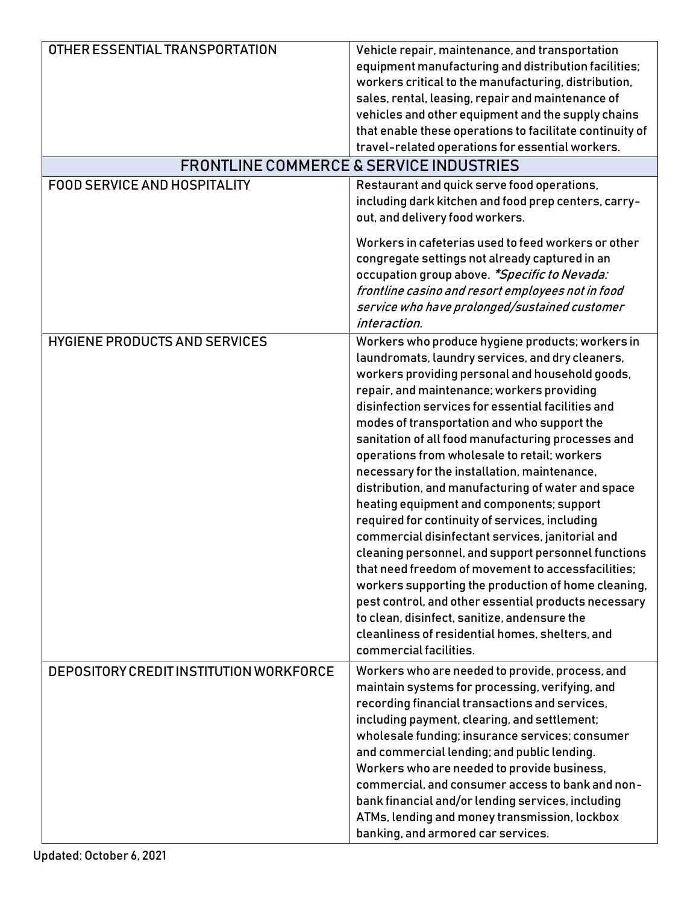| OTHER ESSENTIAL TRANSPORTATION          | Vehicle repair, maintenance, and transportation                                                  |
|-----------------------------------------|--------------------------------------------------------------------------------------------------|
|                                         | equipment manufacturing and distribution facilities;                                             |
|                                         | workers critical to the manufacturing, distribution,                                             |
|                                         | sales, rental, leasing, repair and maintenance of                                                |
|                                         | vehicles and other equipment and the supply chains                                               |
|                                         | that enable these operations to facilitate continuity of                                         |
|                                         | travel-related operations for essential workers.                                                 |
|                                         | <b>FRONTLINE COMMERCE &amp; SERVICE INDUSTRIES</b>                                               |
| <b>FOOD SERVICE AND HOSPITALITY</b>     | Restaurant and quick serve food operations,                                                      |
|                                         | including dark kitchen and food prep centers, carry-                                             |
|                                         | out, and delivery food workers.                                                                  |
|                                         |                                                                                                  |
|                                         | Workers in cafeterias used to feed workers or other                                              |
|                                         | congregate settings not already captured in an                                                   |
|                                         | occupation group above. *Specific to Nevada:                                                     |
|                                         | frontline casino and resort employees not in food                                                |
|                                         | service who have prolonged/sustained customer                                                    |
|                                         | interaction.                                                                                     |
| <b>HYGIENE PRODUCTS AND SERVICES</b>    | Workers who produce hygiene products; workers in                                                 |
|                                         | laundromats, laundry services, and dry cleaners,                                                 |
|                                         | workers providing personal and household goods,                                                  |
|                                         | repair, and maintenance; workers providing<br>disinfection services for essential facilities and |
|                                         |                                                                                                  |
|                                         | modes of transportation and who support the                                                      |
|                                         | sanitation of all food manufacturing processes and                                               |
|                                         | operations from wholesale to retail; workers                                                     |
|                                         | necessary for the installation, maintenance,                                                     |
|                                         | distribution, and manufacturing of water and space<br>heating equipment and components; support  |
|                                         | required for continuity of services, including                                                   |
|                                         | commercial disinfectant services, janitorial and                                                 |
|                                         | cleaning personnel, and support personnel functions                                              |
|                                         | that need freedom of movement to accessfacilities;                                               |
|                                         | workers supporting the production of home cleaning,                                              |
|                                         | pest control, and other essential products necessary                                             |
|                                         | to clean, disinfect, sanitize, andensure the                                                     |
|                                         | cleanliness of residential homes, shelters, and                                                  |
|                                         | commercial facilities.                                                                           |
| DEPOSITORY CREDIT INSTITUTION WORKFORCE | Workers who are needed to provide, process, and                                                  |
|                                         | maintain systems for processing, verifying, and                                                  |
|                                         | recording financial transactions and services,                                                   |
|                                         | including payment, clearing, and settlement;                                                     |
|                                         | wholesale funding; insurance services; consumer                                                  |
|                                         | and commercial lending; and public lending.                                                      |
|                                         | Workers who are needed to provide business,                                                      |
|                                         | commercial, and consumer access to bank and non-                                                 |
|                                         | bank financial and/or lending services, including                                                |
|                                         | ATMs, lending and money transmission, lockbox                                                    |
|                                         | banking, and armored car services.                                                               |
|                                         |                                                                                                  |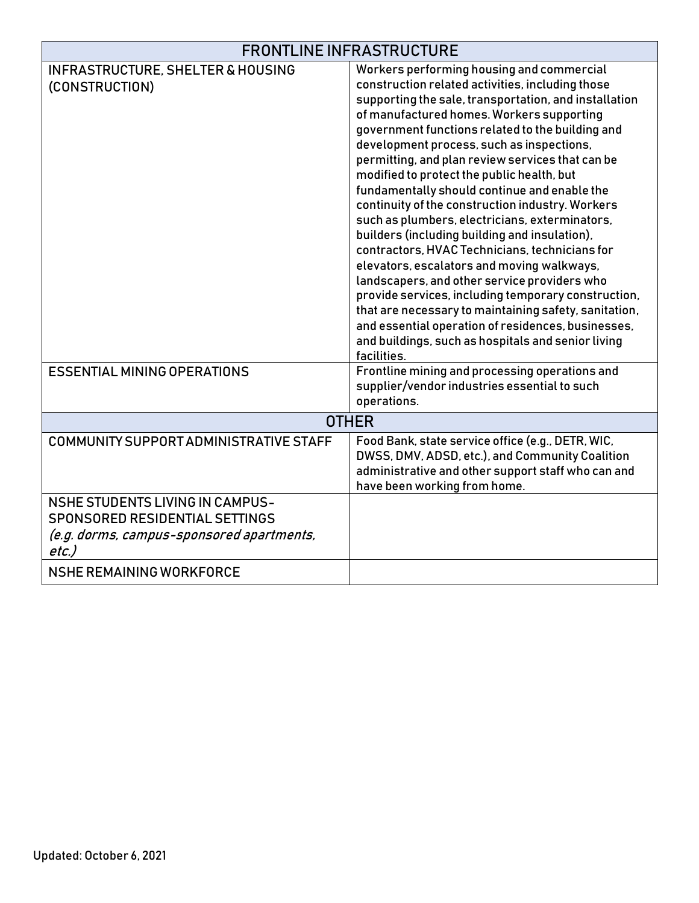| <b>FRONTLINE INFRASTRUCTURE</b>                                                                                                       |                                                                                                                                                                                                                                                                                                                                                                                                                                                                                                                                                                                                                                                                                                                                                                                                                                                                                                                                                                                                          |
|---------------------------------------------------------------------------------------------------------------------------------------|----------------------------------------------------------------------------------------------------------------------------------------------------------------------------------------------------------------------------------------------------------------------------------------------------------------------------------------------------------------------------------------------------------------------------------------------------------------------------------------------------------------------------------------------------------------------------------------------------------------------------------------------------------------------------------------------------------------------------------------------------------------------------------------------------------------------------------------------------------------------------------------------------------------------------------------------------------------------------------------------------------|
| <b>INFRASTRUCTURE, SHELTER &amp; HOUSING</b><br>(CONSTRUCTION)                                                                        | Workers performing housing and commercial<br>construction related activities, including those<br>supporting the sale, transportation, and installation<br>of manufactured homes. Workers supporting<br>government functions related to the building and<br>development process, such as inspections,<br>permitting, and plan review services that can be<br>modified to protect the public health, but<br>fundamentally should continue and enable the<br>continuity of the construction industry. Workers<br>such as plumbers, electricians, exterminators,<br>builders (including building and insulation),<br>contractors, HVAC Technicians, technicians for<br>elevators, escalators and moving walkways,<br>landscapers, and other service providers who<br>provide services, including temporary construction,<br>that are necessary to maintaining safety, sanitation,<br>and essential operation of residences, businesses,<br>and buildings, such as hospitals and senior living<br>facilities. |
| <b>ESSENTIAL MINING OPERATIONS</b>                                                                                                    | Frontline mining and processing operations and<br>supplier/vendor industries essential to such<br>operations.                                                                                                                                                                                                                                                                                                                                                                                                                                                                                                                                                                                                                                                                                                                                                                                                                                                                                            |
| <b>OTHER</b>                                                                                                                          |                                                                                                                                                                                                                                                                                                                                                                                                                                                                                                                                                                                                                                                                                                                                                                                                                                                                                                                                                                                                          |
| COMMUNITY SUPPORT ADMINISTRATIVE STAFF                                                                                                | Food Bank, state service office (e.g., DETR, WIC,<br>DWSS, DMV, ADSD, etc.), and Community Coalition<br>administrative and other support staff who can and<br>have been working from home.                                                                                                                                                                                                                                                                                                                                                                                                                                                                                                                                                                                                                                                                                                                                                                                                               |
| <b>NSHE STUDENTS LIVING IN CAMPUS-</b><br><b>SPONSORED RESIDENTIAL SETTINGS</b><br>(e.g. dorms, campus-sponsored apartments,<br>etc.) |                                                                                                                                                                                                                                                                                                                                                                                                                                                                                                                                                                                                                                                                                                                                                                                                                                                                                                                                                                                                          |
| NSHE REMAINING WORKFORCE                                                                                                              |                                                                                                                                                                                                                                                                                                                                                                                                                                                                                                                                                                                                                                                                                                                                                                                                                                                                                                                                                                                                          |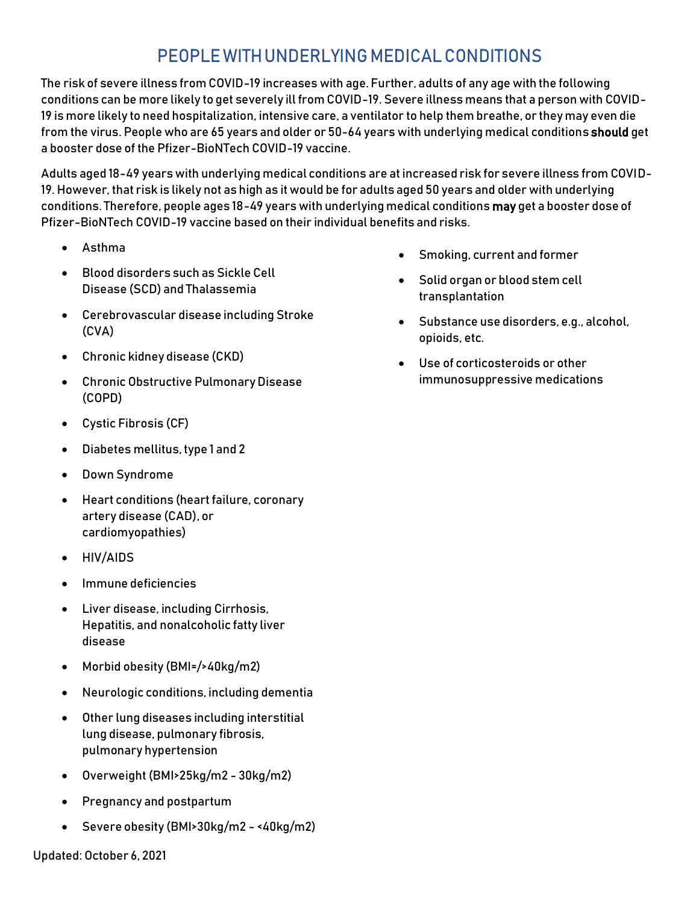### PEOPLEWITHUNDERLYINGMEDICALCONDITIONS

The risk of severe illness from COVID-19 increases with age. Further, adults of any age with the following conditions can be more likely to get severely ill from COVID-19. Severe illness means that a person with COVID-19 is more likely to need hospitalization, intensive care, a ventilator to help them breathe, or they may even die from the virus. People who are 65 years and older or 50-64 years with underlying medical conditions should get a booster dose of the Pfizer-BioNTech COVID-19 vaccine.

Adults aged 18-49 years with underlying medical conditions are at increased risk for severe illness from COVID-19. However, that risk is likely not as high as it would be for adults aged 50 years and older with underlying conditions. Therefore, people ages 18-49 years with underlying medical conditions may get a booster dose of Pfizer-BioNTech COVID-19 vaccine based on their individual benefits and risks.

- Asthma
- Blood disorders such as Sickle Cell Disease (SCD) and Thalassemia
- Cerebrovascular disease including Stroke (CVA)
- Chronic kidney disease (CKD)
- Chronic Obstructive Pulmonary Disease (COPD)
- Cystic Fibrosis (CF)
- Diabetes mellitus, type 1 and 2
- Down Syndrome
- Heart conditions (heart failure, coronary artery disease (CAD), or cardiomyopathies)
- HIV/AIDS
- Immune deficiencies
- Liver disease, including Cirrhosis, Hepatitis, and nonalcoholic fatty liver disease
- Morbid obesity (BMI=/>40kg/m2)
- Neurologic conditions, including dementia
- Other lung diseases including interstitial lung disease, pulmonary fibrosis, pulmonary hypertension
- Overweight (BMI>25kg/m2 30kg/m2)
- Pregnancy and postpartum
- Severe obesity (BMI>30kg/m2 <40kg/m2)
- Smoking, current and former
- Solid organ or blood stem cell transplantation
- Substance use disorders, e.g., alcohol, opioids, etc.
- Use of corticosteroids or other immunosuppressive medications